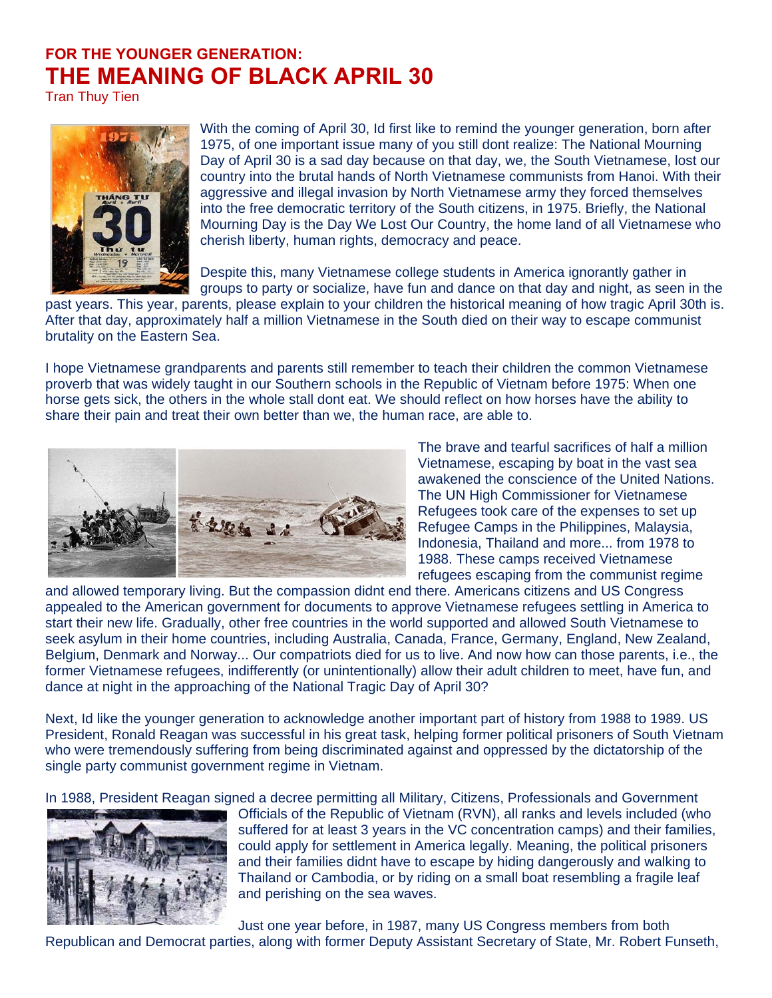## **FOR THE YOUNGER GENERATION: THE MEANING OF BLACK APRIL 30**

Tran Thuy Tien



With the coming of April 30, Id first like to remind the younger generation, born after 1975, of one important issue many of you still dont realize: The National Mourning Day of April 30 is a sad day because on that day, we, the South Vietnamese, lost our country into the brutal hands of North Vietnamese communists from Hanoi. With their aggressive and illegal invasion by North Vietnamese army they forced themselves into the free democratic territory of the South citizens, in 1975. Briefly, the National Mourning Day is the Day We Lost Our Country, the home land of all Vietnamese who cherish liberty, human rights, democracy and peace.

Despite this, many Vietnamese college students in America ignorantly gather in groups to party or socialize, have fun and dance on that day and night, as seen in the

past years. This year, parents, please explain to your children the historical meaning of how tragic April 30th is. After that day, approximately half a million Vietnamese in the South died on their way to escape communist brutality on the Eastern Sea.

I hope Vietnamese grandparents and parents still remember to teach their children the common Vietnamese proverb that was widely taught in our Southern schools in the Republic of Vietnam before 1975: When one horse gets sick, the others in the whole stall dont eat. We should reflect on how horses have the ability to share their pain and treat their own better than we, the human race, are able to.



The brave and tearful sacrifices of half a million Vietnamese, escaping by boat in the vast sea awakened the conscience of the United Nations. The UN High Commissioner for Vietnamese Refugees took care of the expenses to set up Refugee Camps in the Philippines, Malaysia, Indonesia, Thailand and more... from 1978 to 1988. These camps received Vietnamese refugees escaping from the communist regime

and allowed temporary living. But the compassion didnt end there. Americans citizens and US Congress appealed to the American government for documents to approve Vietnamese refugees settling in America to start their new life. Gradually, other free countries in the world supported and allowed South Vietnamese to seek asylum in their home countries, including Australia, Canada, France, Germany, England, New Zealand, Belgium, Denmark and Norway... Our compatriots died for us to live. And now how can those parents, i.e., the former Vietnamese refugees, indifferently (or unintentionally) allow their adult children to meet, have fun, and dance at night in the approaching of the National Tragic Day of April 30?

Next, Id like the younger generation to acknowledge another important part of history from 1988 to 1989. US President, Ronald Reagan was successful in his great task, helping former political prisoners of South Vietnam who were tremendously suffering from being discriminated against and oppressed by the dictatorship of the single party communist government regime in Vietnam.

In 1988, President Reagan signed a decree permitting all Military, Citizens, Professionals and Government



Officials of the Republic of Vietnam (RVN), all ranks and levels included (who suffered for at least 3 years in the VC concentration camps) and their families, could apply for settlement in America legally. Meaning, the political prisoners and their families didnt have to escape by hiding dangerously and walking to Thailand or Cambodia, or by riding on a small boat resembling a fragile leaf and perishing on the sea waves.

Just one year before, in 1987, many US Congress members from both

Republican and Democrat parties, along with former Deputy Assistant Secretary of State, Mr. Robert Funseth,